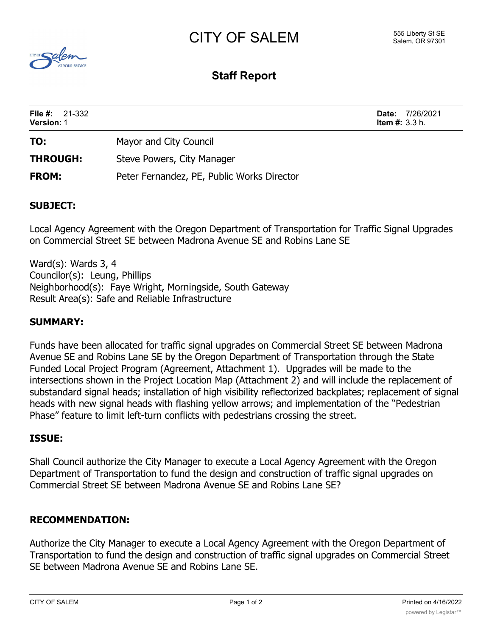# CITY OF SALEM



# **Staff Report**

| <b>File #:</b> $21-332$<br><b>Version: 1</b> |                                            | <b>Item #:</b> $3.3$ h. | <b>Date: 7/26/2021</b> |
|----------------------------------------------|--------------------------------------------|-------------------------|------------------------|
| TO:                                          | Mayor and City Council                     |                         |                        |
| <b>THROUGH:</b>                              | Steve Powers, City Manager                 |                         |                        |
| <b>FROM:</b>                                 | Peter Fernandez, PE, Public Works Director |                         |                        |

#### **SUBJECT:**

Local Agency Agreement with the Oregon Department of Transportation for Traffic Signal Upgrades on Commercial Street SE between Madrona Avenue SE and Robins Lane SE

Ward(s): Wards 3, 4 Councilor(s): Leung, Phillips Neighborhood(s): Faye Wright, Morningside, South Gateway Result Area(s): Safe and Reliable Infrastructure

### **SUMMARY:**

Funds have been allocated for traffic signal upgrades on Commercial Street SE between Madrona Avenue SE and Robins Lane SE by the Oregon Department of Transportation through the State Funded Local Project Program (Agreement, Attachment 1). Upgrades will be made to the intersections shown in the Project Location Map (Attachment 2) and will include the replacement of substandard signal heads; installation of high visibility reflectorized backplates; replacement of signal heads with new signal heads with flashing yellow arrows; and implementation of the "Pedestrian Phase" feature to limit left-turn conflicts with pedestrians crossing the street.

#### **ISSUE:**

Shall Council authorize the City Manager to execute a Local Agency Agreement with the Oregon Department of Transportation to fund the design and construction of traffic signal upgrades on Commercial Street SE between Madrona Avenue SE and Robins Lane SE?

#### **RECOMMENDATION:**

Authorize the City Manager to execute a Local Agency Agreement with the Oregon Department of Transportation to fund the design and construction of traffic signal upgrades on Commercial Street SE between Madrona Avenue SE and Robins Lane SE.